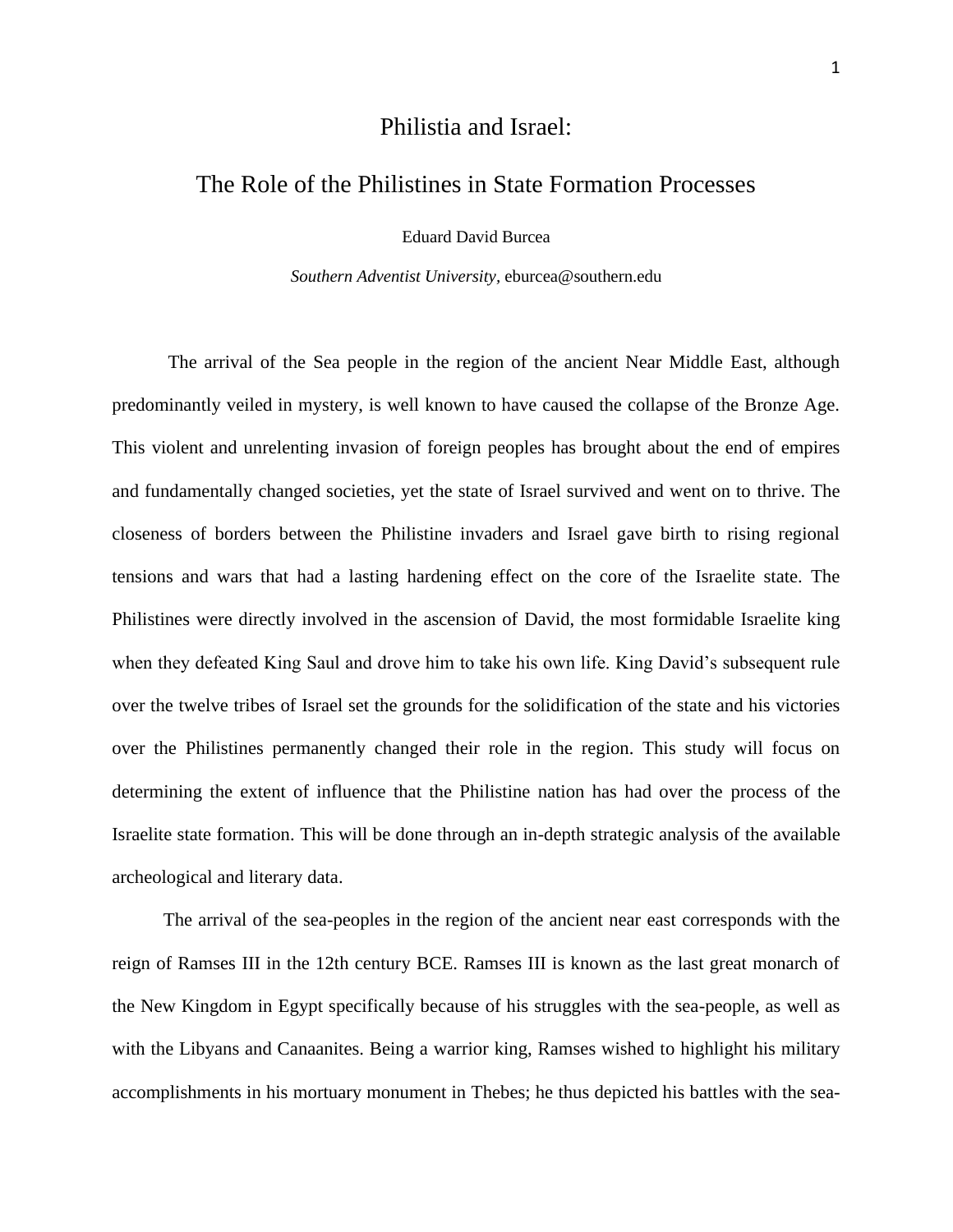## Philistia and Israel:

## The Role of the Philistines in State Formation Processes

Eduard David Burcea

*Southern Adventist University,* eburcea@southern.edu

The arrival of the Sea people in the region of the ancient Near Middle East, although predominantly veiled in mystery, is well known to have caused the collapse of the Bronze Age. This violent and unrelenting invasion of foreign peoples has brought about the end of empires and fundamentally changed societies, yet the state of Israel survived and went on to thrive. The closeness of borders between the Philistine invaders and Israel gave birth to rising regional tensions and wars that had a lasting hardening effect on the core of the Israelite state. The Philistines were directly involved in the ascension of David, the most formidable Israelite king when they defeated King Saul and drove him to take his own life. King David's subsequent rule over the twelve tribes of Israel set the grounds for the solidification of the state and his victories over the Philistines permanently changed their role in the region. This study will focus on determining the extent of influence that the Philistine nation has had over the process of the Israelite state formation. This will be done through an in-depth strategic analysis of the available archeological and literary data.

 The arrival of the sea-peoples in the region of the ancient near east corresponds with the reign of Ramses III in the 12th century BCE. Ramses III is known as the last great monarch of the New Kingdom in Egypt specifically because of his struggles with the sea-people, as well as with the Libyans and Canaanites. Being a warrior king, Ramses wished to highlight his military accomplishments in his mortuary monument in Thebes; he thus depicted his battles with the sea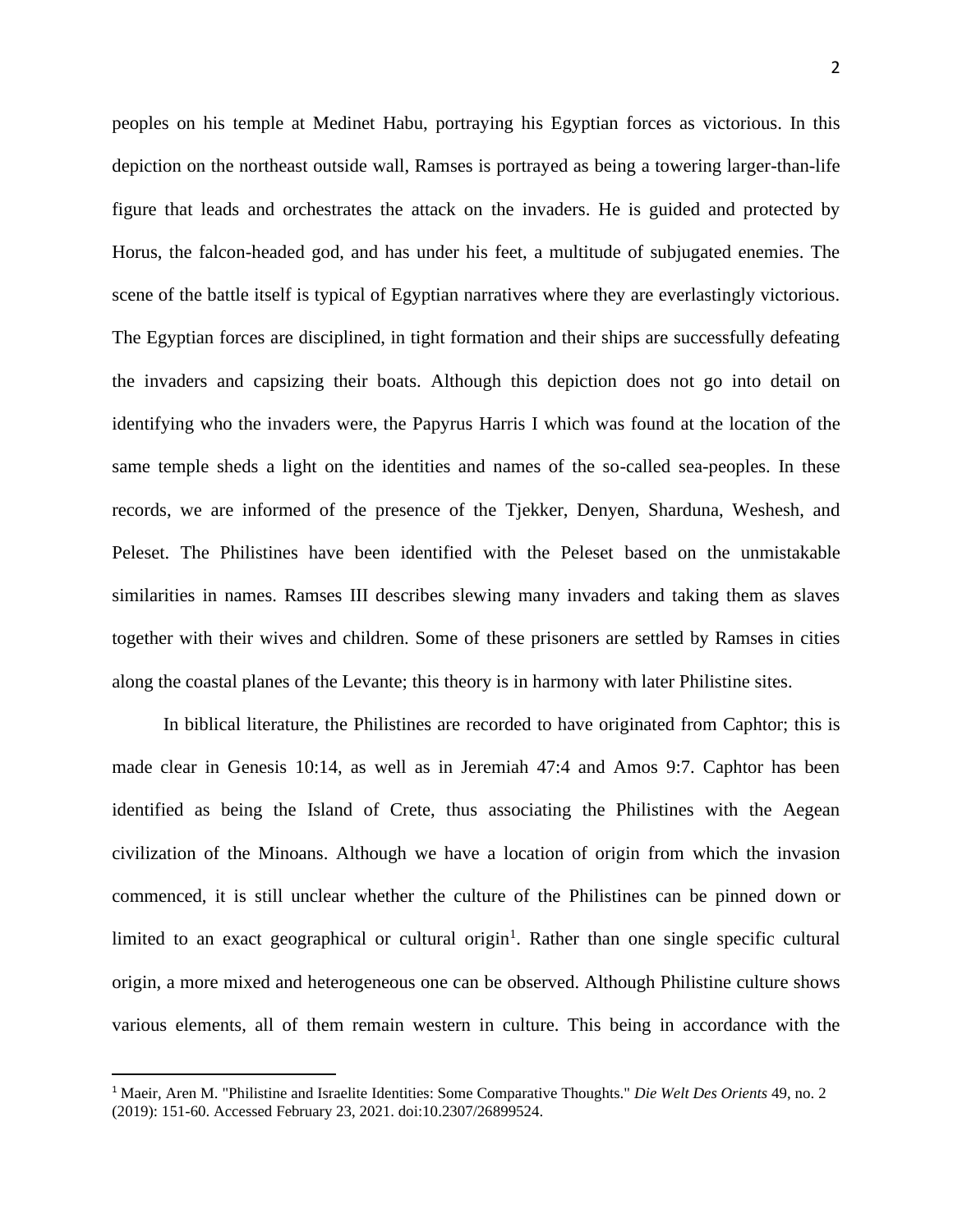peoples on his temple at Medinet Habu, portraying his Egyptian forces as victorious. In this depiction on the northeast outside wall, Ramses is portrayed as being a towering larger-than-life figure that leads and orchestrates the attack on the invaders. He is guided and protected by Horus, the falcon-headed god, and has under his feet, a multitude of subjugated enemies. The scene of the battle itself is typical of Egyptian narratives where they are everlastingly victorious. The Egyptian forces are disciplined, in tight formation and their ships are successfully defeating the invaders and capsizing their boats. Although this depiction does not go into detail on identifying who the invaders were, the Papyrus Harris I which was found at the location of the same temple sheds a light on the identities and names of the so-called sea-peoples. In these records, we are informed of the presence of the Tjekker, Denyen, Sharduna, Weshesh, and Peleset. The Philistines have been identified with the Peleset based on the unmistakable similarities in names. Ramses III describes slewing many invaders and taking them as slaves together with their wives and children. Some of these prisoners are settled by Ramses in cities along the coastal planes of the Levante; this theory is in harmony with later Philistine sites.

 In biblical literature, the Philistines are recorded to have originated from Caphtor; this is made clear in Genesis 10:14, as well as in Jeremiah 47:4 and Amos 9:7. Caphtor has been identified as being the Island of Crete, thus associating the Philistines with the Aegean civilization of the Minoans. Although we have a location of origin from which the invasion commenced, it is still unclear whether the culture of the Philistines can be pinned down or limited to an exact geographical or cultural origin<sup>1</sup>. Rather than one single specific cultural origin, a more mixed and heterogeneous one can be observed. Although Philistine culture shows various elements, all of them remain western in culture. This being in accordance with the

<sup>1</sup> Maeir, Aren M. "Philistine and Israelite Identities: Some Comparative Thoughts." *Die Welt Des Orients* 49, no. 2 (2019): 151-60. Accessed February 23, 2021. doi:10.2307/26899524.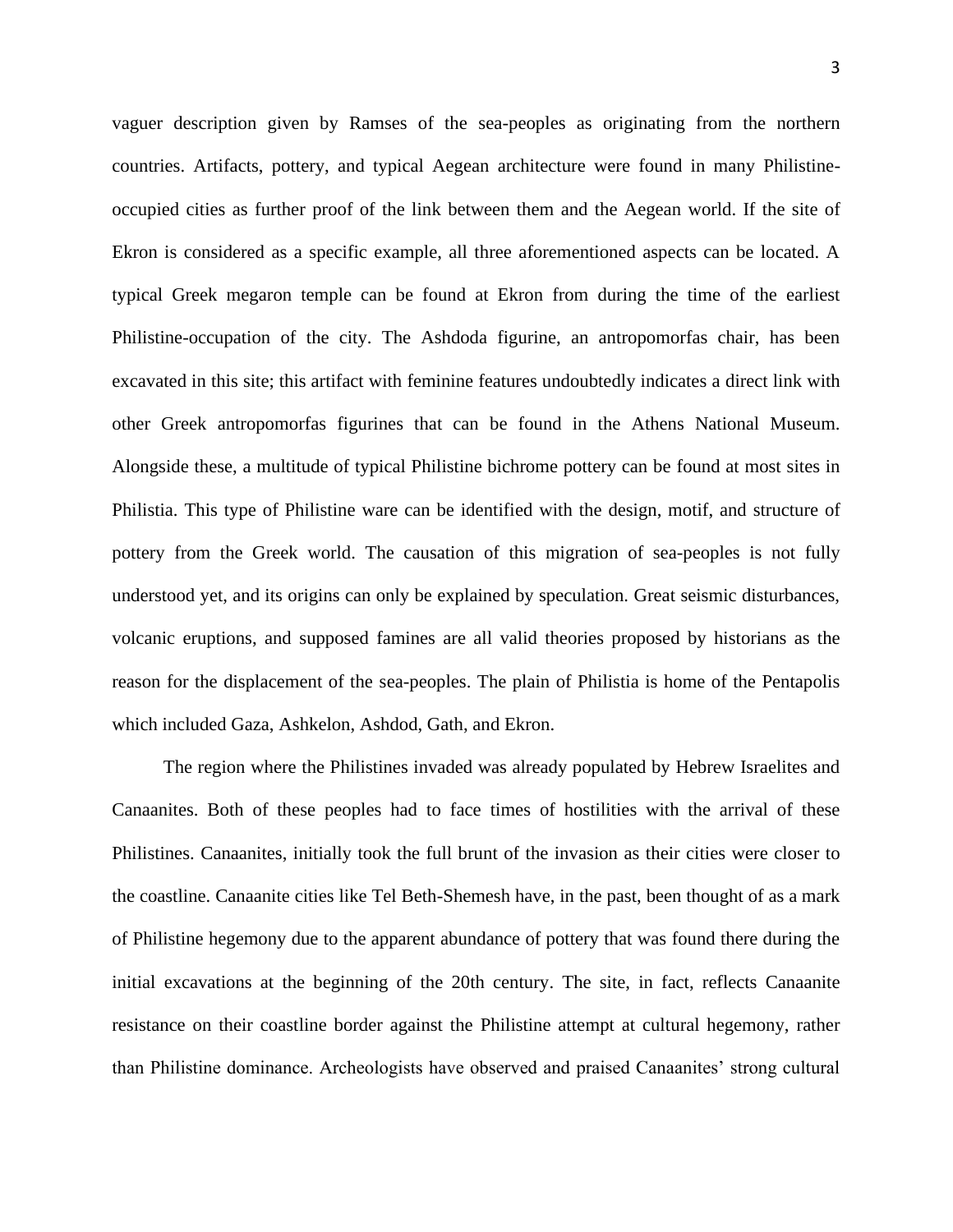vaguer description given by Ramses of the sea-peoples as originating from the northern countries. Artifacts, pottery, and typical Aegean architecture were found in many Philistineoccupied cities as further proof of the link between them and the Aegean world. If the site of Ekron is considered as a specific example, all three aforementioned aspects can be located. A typical Greek megaron temple can be found at Ekron from during the time of the earliest Philistine-occupation of the city. The Ashdoda figurine, an antropomorfas chair, has been excavated in this site; this artifact with feminine features undoubtedly indicates a direct link with other Greek antropomorfas figurines that can be found in the Athens National Museum. Alongside these, a multitude of typical Philistine bichrome pottery can be found at most sites in Philistia. This type of Philistine ware can be identified with the design, motif, and structure of pottery from the Greek world. The causation of this migration of sea-peoples is not fully understood yet, and its origins can only be explained by speculation. Great seismic disturbances, volcanic eruptions, and supposed famines are all valid theories proposed by historians as the reason for the displacement of the sea-peoples. The plain of Philistia is home of the Pentapolis which included Gaza, Ashkelon, Ashdod, Gath, and Ekron.

 The region where the Philistines invaded was already populated by Hebrew Israelites and Canaanites. Both of these peoples had to face times of hostilities with the arrival of these Philistines. Canaanites, initially took the full brunt of the invasion as their cities were closer to the coastline. Canaanite cities like Tel Beth-Shemesh have, in the past, been thought of as a mark of Philistine hegemony due to the apparent abundance of pottery that was found there during the initial excavations at the beginning of the 20th century. The site, in fact, reflects Canaanite resistance on their coastline border against the Philistine attempt at cultural hegemony, rather than Philistine dominance. Archeologists have observed and praised Canaanites' strong cultural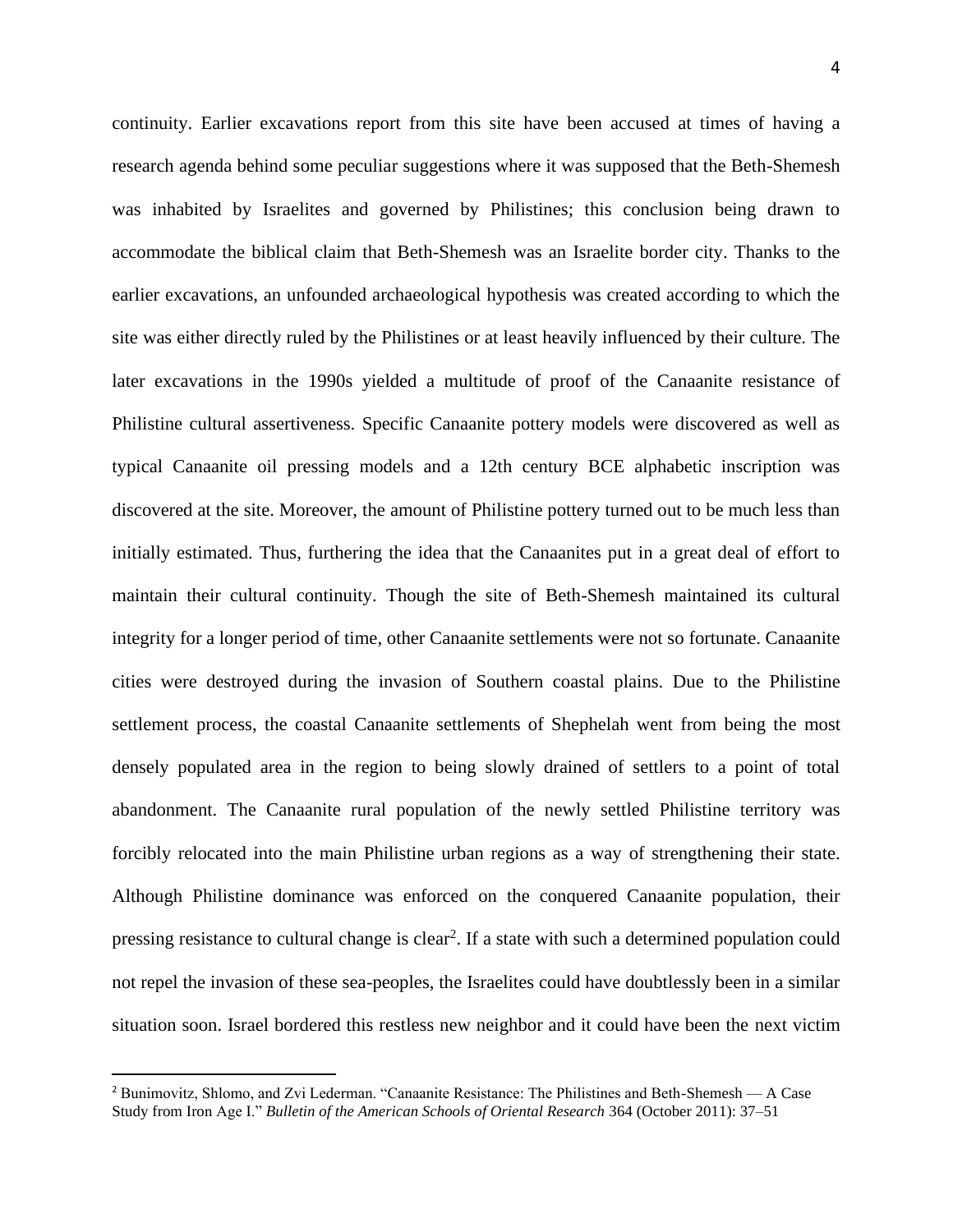continuity. Earlier excavations report from this site have been accused at times of having a research agenda behind some peculiar suggestions where it was supposed that the Beth-Shemesh was inhabited by Israelites and governed by Philistines; this conclusion being drawn to accommodate the biblical claim that Beth-Shemesh was an Israelite border city. Thanks to the earlier excavations, an unfounded archaeological hypothesis was created according to which the site was either directly ruled by the Philistines or at least heavily influenced by their culture. The later excavations in the 1990s yielded a multitude of proof of the Canaanite resistance of Philistine cultural assertiveness. Specific Canaanite pottery models were discovered as well as typical Canaanite oil pressing models and a 12th century BCE alphabetic inscription was discovered at the site. Moreover, the amount of Philistine pottery turned out to be much less than initially estimated. Thus, furthering the idea that the Canaanites put in a great deal of effort to maintain their cultural continuity. Though the site of Beth-Shemesh maintained its cultural integrity for a longer period of time, other Canaanite settlements were not so fortunate. Canaanite cities were destroyed during the invasion of Southern coastal plains. Due to the Philistine settlement process, the coastal Canaanite settlements of Shephelah went from being the most densely populated area in the region to being slowly drained of settlers to a point of total abandonment. The Canaanite rural population of the newly settled Philistine territory was forcibly relocated into the main Philistine urban regions as a way of strengthening their state. Although Philistine dominance was enforced on the conquered Canaanite population, their pressing resistance to cultural change is clear<sup>2</sup>. If a state with such a determined population could not repel the invasion of these sea-peoples, the Israelites could have doubtlessly been in a similar situation soon. Israel bordered this restless new neighbor and it could have been the next victim

<sup>2</sup> Bunimovitz, Shlomo, and Zvi Lederman. "Canaanite Resistance: The Philistines and Beth-Shemesh — A Case Study from Iron Age I." *Bulletin of the American Schools of Oriental Research* 364 (October 2011): 37–51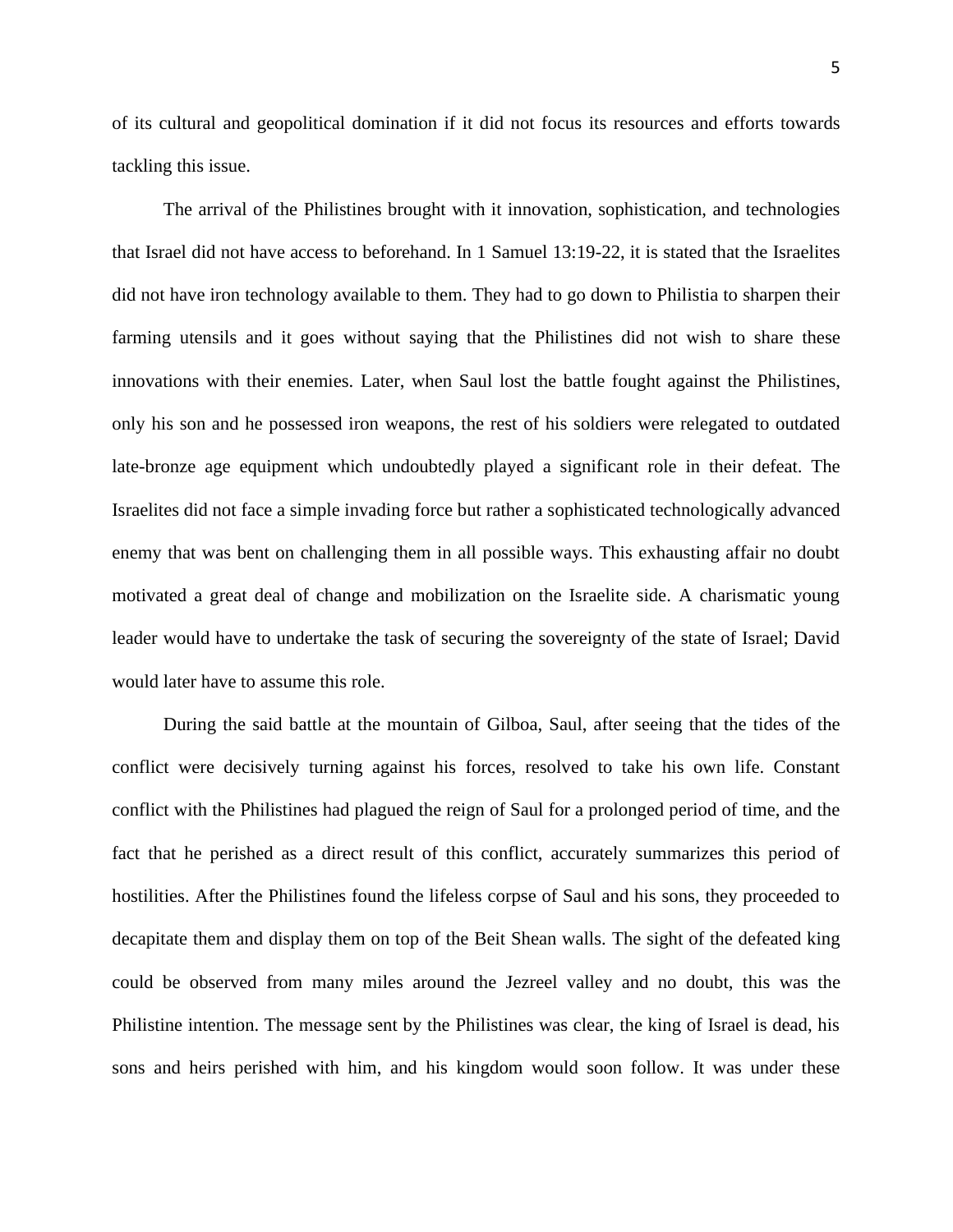of its cultural and geopolitical domination if it did not focus its resources and efforts towards tackling this issue.

 The arrival of the Philistines brought with it innovation, sophistication, and technologies that Israel did not have access to beforehand. In 1 Samuel 13:19-22, it is stated that the Israelites did not have iron technology available to them. They had to go down to Philistia to sharpen their farming utensils and it goes without saying that the Philistines did not wish to share these innovations with their enemies. Later, when Saul lost the battle fought against the Philistines, only his son and he possessed iron weapons, the rest of his soldiers were relegated to outdated late-bronze age equipment which undoubtedly played a significant role in their defeat. The Israelites did not face a simple invading force but rather a sophisticated technologically advanced enemy that was bent on challenging them in all possible ways. This exhausting affair no doubt motivated a great deal of change and mobilization on the Israelite side. A charismatic young leader would have to undertake the task of securing the sovereignty of the state of Israel; David would later have to assume this role.

 During the said battle at the mountain of Gilboa, Saul, after seeing that the tides of the conflict were decisively turning against his forces, resolved to take his own life. Constant conflict with the Philistines had plagued the reign of Saul for a prolonged period of time, and the fact that he perished as a direct result of this conflict, accurately summarizes this period of hostilities. After the Philistines found the lifeless corpse of Saul and his sons, they proceeded to decapitate them and display them on top of the Beit Shean walls. The sight of the defeated king could be observed from many miles around the Jezreel valley and no doubt, this was the Philistine intention. The message sent by the Philistines was clear, the king of Israel is dead, his sons and heirs perished with him, and his kingdom would soon follow. It was under these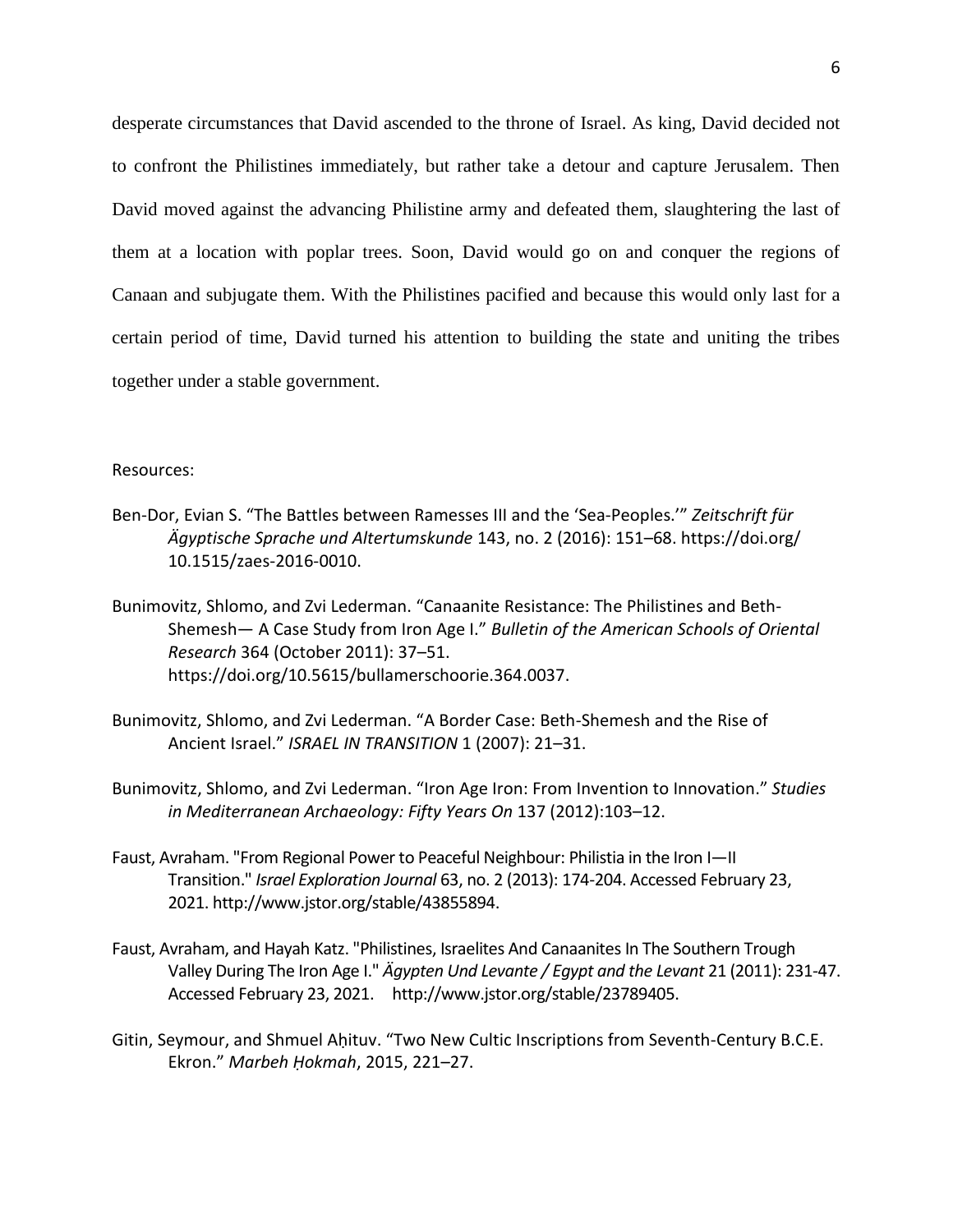desperate circumstances that David ascended to the throne of Israel. As king, David decided not to confront the Philistines immediately, but rather take a detour and capture Jerusalem. Then David moved against the advancing Philistine army and defeated them, slaughtering the last of them at a location with poplar trees. Soon, David would go on and conquer the regions of Canaan and subjugate them. With the Philistines pacified and because this would only last for a certain period of time, David turned his attention to building the state and uniting the tribes together under a stable government.

## Resources:

- Ben-Dor, Evian S. "The Battles between Ramesses III and the 'Sea-Peoples.'" *Zeitschrift für Ägyptische Sprache und Altertumskunde* 143, no. 2 (2016): 151–68.<https://doi.org/> 10.1515/zaes-2016-0010.
- Bunimovitz, Shlomo, and Zvi Lederman. "Canaanite Resistance: The Philistines and Beth-Shemesh— A Case Study from Iron Age I." *Bulletin of the American Schools of Oriental Research* 364 (October 2011): 37–51. [https://doi.org/10.5615/bullamerschoorie.364.0037.](https://doi.org/10.5615/bullamerschoorie.364.0037)
- Bunimovitz, Shlomo, and Zvi Lederman. "A Border Case: Beth-Shemesh and the Rise of Ancient Israel." *ISRAEL IN TRANSITION* 1 (2007): 21–31.
- Bunimovitz, Shlomo, and Zvi Lederman. "Iron Age Iron: From Invention to Innovation." *Studies in Mediterranean Archaeology: Fifty Years On* 137 (2012):103–12.
- Faust, Avraham. "From Regional Power to Peaceful Neighbour: Philistia in the Iron I—II Transition." *Israel Exploration Journal* 63, no. 2 (2013): 174-204. Accessed February 23, 2021[. http://www.jstor.org/stable/43855894.](http://www.jstor.org/stable/43855894)
- Faust, Avraham, and Hayah Katz. "Philistines, Israelites And Canaanites In The Southern Trough Valley During The Iron Age I." *Ägypten Und Levante / Egypt and the Levant* 21 (2011): 231-47. Accessed February 23, 2021. http://www.jstor.org/stable/23789405.
- Gitin, Seymour, and Shmuel Aḥituv. "Two New Cultic Inscriptions from Seventh-Century B.C.E. Ekron." *Marbeh Ḥokmah*, 2015, 221–27.